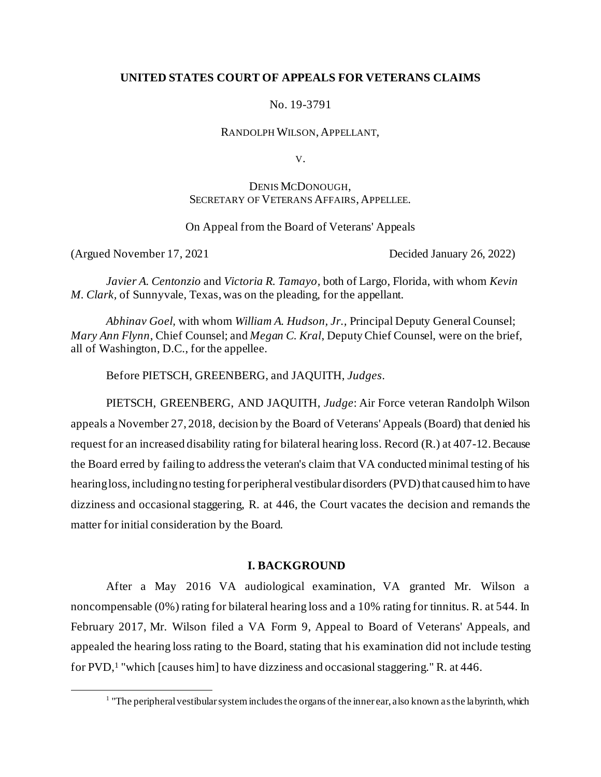## **UNITED STATES COURT OF APPEALS FOR VETERANS CLAIMS**

No. 19-3791

RANDOLPH WILSON, APPELLANT,

V.

# DENIS MCDONOUGH, SECRETARY OF VETERANS AFFAIRS, APPELLEE.

On Appeal from the Board of Veterans' Appeals

(Argued November 17, 2021 Decided January 26, 2022)

*Javier A. Centonzio* and *Victoria R. Tamayo,* both of Largo, Florida, with whom *Kevin M. Clark,* of Sunnyvale, Texas, was on the pleading, for the appellant.

*Abhinav Goel,* with whom *William A. Hudson, Jr.,* Principal Deputy General Counsel; *Mary Ann Flynn*, Chief Counsel; and *Megan C. Kral*, Deputy Chief Counsel, were on the brief, all of Washington, D.C., for the appellee.

Before PIETSCH, GREENBERG, and JAQUITH, *Judges*.

PIETSCH, GREENBERG, AND JAQUITH, *Judge*: Air Force veteran Randolph Wilson appeals a November 27, 2018, decision by the Board of Veterans' Appeals (Board) that denied his request for an increased disability rating for bilateral hearing loss. Record (R.) at 407-12. Because the Board erred by failing to address the veteran's claim that VA conducted minimal testing of his hearing loss, including no testing for peripheral vestibular disorders (PVD) that caused him to have dizziness and occasional staggering, R. at 446, the Court vacates the decision and remands the matter for initial consideration by the Board.

## **I. BACKGROUND**

After a May 2016 VA audiological examination, VA granted Mr. Wilson a noncompensable (0%) rating for bilateral hearing loss and a 10% rating for tinnitus. R. at 544. In February 2017, Mr. Wilson filed a VA Form 9, Appeal to Board of Veterans' Appeals, and appealed the hearing loss rating to the Board, stating that his examination did not include testing for PVD,<sup>1</sup> "which [causes him] to have dizziness and occasional staggering." R. at 446.

<sup>&</sup>lt;sup>1</sup> "The peripheral vestibular system includes the organs of the inner ear, also known as the labyrinth, which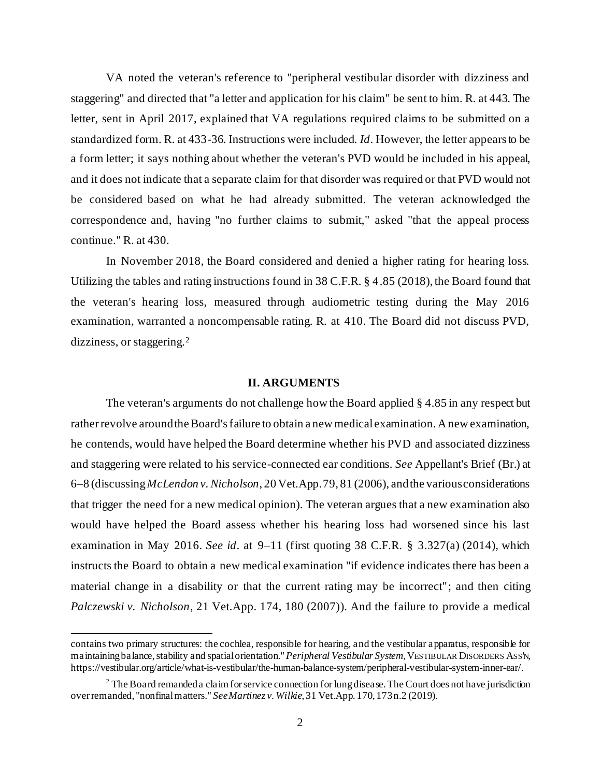VA noted the veteran's reference to "peripheral vestibular disorder with dizziness and staggering" and directed that "a letter and application for his claim" be sent to him. R. at 443. The letter, sent in April 2017, explained that VA regulations required claims to be submitted on a standardized form. R. at 433-36. Instructions were included. *Id*. However, the letter appears to be a form letter; it says nothing about whether the veteran's PVD would be included in his appeal, and it does not indicate that a separate claim for that disorder was required or that PVD would not be considered based on what he had already submitted. The veteran acknowledged the correspondence and, having "no further claims to submit," asked "that the appeal process continue." R. at 430.

In November 2018, the Board considered and denied a higher rating for hearing loss. Utilizing the tables and rating instructions found in 38 C.F.R. § 4.85 (2018), the Board found that the veteran's hearing loss, measured through audiometric testing during the May 2016 examination, warranted a noncompensable rating. R. at 410. The Board did not discuss PVD, dizziness, or staggering.<sup>2</sup>

#### **II. ARGUMENTS**

The veteran's arguments do not challenge how the Board applied § 4.85 in any respect but rather revolve around the Board's failure to obtain a new medical examination. A new examination, he contends, would have helped the Board determine whether his PVD and associated dizziness and staggering were related to his service-connected ear conditions. *See* Appellant's Brief (Br.) at 6–8 (discussing *McLendon v. Nicholson*, 20 Vet.App. 79, 81 (2006), and the various considerations that trigger the need for a new medical opinion). The veteran argues that a new examination also would have helped the Board assess whether his hearing loss had worsened since his last examination in May 2016. *See id*. at 9–11 (first quoting 38 C.F.R. § 3.327(a) (2014), which instructs the Board to obtain a new medical examination "if evidence indicates there has been a material change in a disability or that the current rating may be incorrect"; and then citing *Palczewski v. Nicholson*, 21 Vet.App. 174, 180 (2007)). And the failure to provide a medical

contains two primary structures: the cochlea, responsible for hearing, and the vestibular apparatus, responsible for maintaining balance, stability and spatial orientation." *Peripheral Vestibular System*, VESTIBULAR DISORDERS ASS'N, https://vestibular.org/article/what-is-vestibular/the-human-balance-system/peripheral-vestibular-system-inner-ear/.

 $2$  The Board remanded a claim for service connection for lung disease. The Court does not have jurisdiction over remanded, "nonfinal matters." *See Martinez v. Wilkie*, 31 Vet.App. 170, 173 n.2 (2019).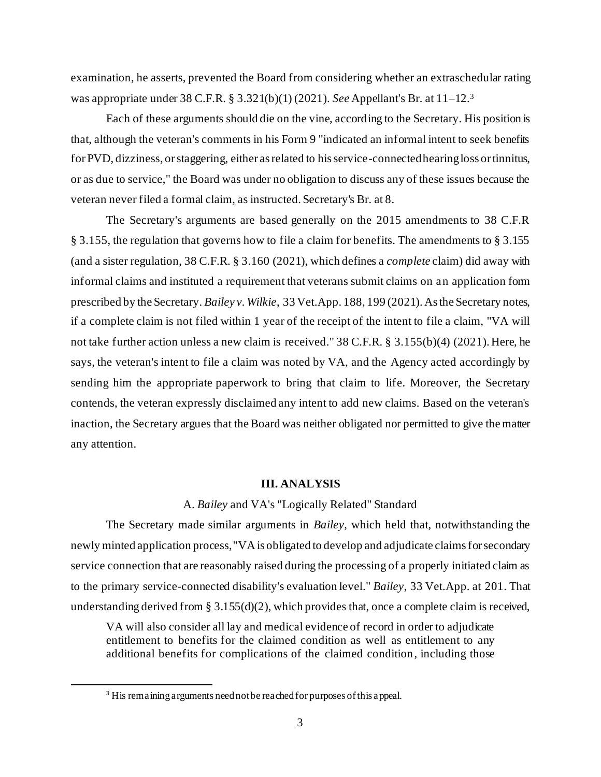examination, he asserts, prevented the Board from considering whether an extraschedular rating was appropriate under 38 C.F.R. § 3.321(b)(1) (2021). *See* Appellant's Br. at 11–12.<sup>3</sup>

Each of these arguments should die on the vine, according to the Secretary. His position is that, although the veteran's comments in his Form 9 "indicated an informal intent to seek benefits for PVD, dizziness, or staggering, either as related to his service-connected hearing loss or tinnitus, or as due to service," the Board was under no obligation to discuss any of these issues because the veteran never filed a formal claim, as instructed. Secretary's Br. at 8.

The Secretary's arguments are based generally on the 2015 amendments to 38 C.F.R § 3.155, the regulation that governs how to file a claim for benefits. The amendments to § 3.155 (and a sister regulation, 38 C.F.R. § 3.160 (2021), which defines a *complete* claim) did away with informal claims and instituted a requirement that veterans submit claims on an application form prescribed by the Secretary. *Bailey v. Wilkie*, 33 Vet.App. 188, 199 (2021). As the Secretary notes, if a complete claim is not filed within 1 year of the receipt of the intent to file a claim, "VA will not take further action unless a new claim is received." 38 C.F.R. § 3.155(b)(4) (2021). Here, he says, the veteran's intent to file a claim was noted by VA, and the Agency acted accordingly by sending him the appropriate paperwork to bring that claim to life. Moreover, the Secretary contends, the veteran expressly disclaimed any intent to add new claims. Based on the veteran's inaction, the Secretary argues that the Board was neither obligated nor permitted to give the matter any attention.

#### **III. ANALYSIS**

## A. *Bailey* and VA's "Logically Related" Standard

The Secretary made similar arguments in *Bailey*, which held that, notwithstanding the newly minted application process, "VA is obligated to develop and adjudicate claims for secondary service connection that are reasonably raised during the processing of a properly initiated claim as to the primary service-connected disability's evaluation level." *Bailey*, 33 Vet.App. at 201. That understanding derived from § 3.155(d)(2), which provides that, once a complete claim is received,

VA will also consider all lay and medical evidence of record in order to adjudicate entitlement to benefits for the claimed condition as well as entitlement to any additional benefits for complications of the claimed condition, including those

<sup>&</sup>lt;sup>3</sup> His remaining arguments need not be reached for purposes of this appeal.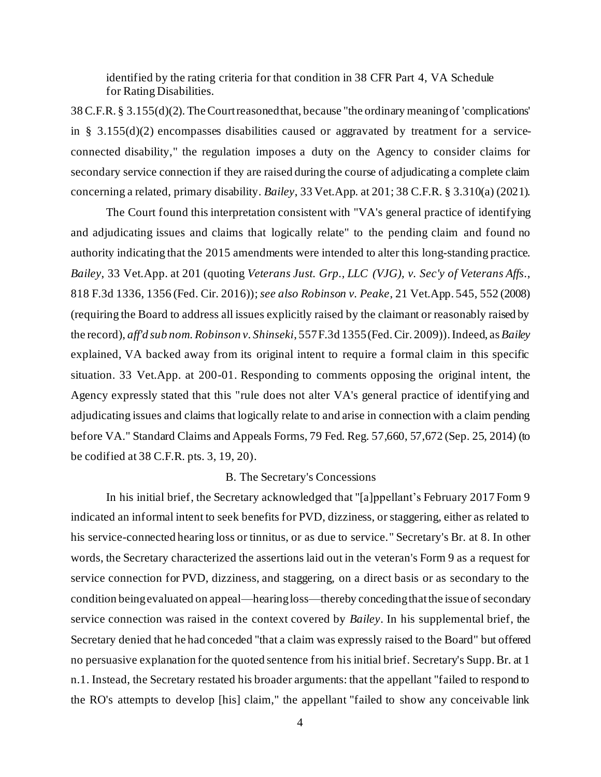identified by the rating criteria for that condition in 38 CFR Part 4, VA Schedule for Rating Disabilities.

38 C.F.R. § 3.155(d)(2). The Court reasoned that, because "the ordinary meaning of 'complications' in § 3.155(d)(2) encompasses disabilities caused or aggravated by treatment for a serviceconnected disability," the regulation imposes a duty on the Agency to consider claims for secondary service connection if they are raised during the course of adjudicating a complete claim concerning a related, primary disability. *Bailey*, 33 Vet.App. at 201; 38 C.F.R. § 3.310(a) (2021).

The Court found this interpretation consistent with "VA's general practice of identifying and adjudicating issues and claims that logically relate" to the pending claim and found no authority indicating that the 2015 amendments were intended to alter this long-standing practice. *Bailey*, 33 Vet.App. at 201 (quoting *Veterans Just. Grp., LLC (VJG), v. Sec'y of Veterans Affs.*, 818 F.3d 1336, 1356 (Fed. Cir. 2016)); *see also Robinson v. Peake*, 21 Vet.App. 545, 552 (2008) (requiring the Board to address all issues explicitly raised by the claimant or reasonably raised by the record), *aff'd sub nom. Robinson v. Shinseki*, 557 F.3d 1355 (Fed. Cir. 2009)). Indeed, as *Bailey*  explained, VA backed away from its original intent to require a formal claim in this specific situation. 33 Vet.App. at 200-01. Responding to comments opposing the original intent, the Agency expressly stated that this "rule does not alter VA's general practice of identifying and adjudicating issues and claims that logically relate to and arise in connection with a claim pending before VA." Standard Claims and Appeals Forms, 79 Fed. Reg. 57,660, 57,672 (Sep. 25, 2014) (to be codified at 38 C.F.R. pts. 3, 19, 20).

## B. The Secretary's Concessions

In his initial brief, the Secretary acknowledged that "[a]ppellant's February 2017 Form 9 indicated an informal intent to seek benefits for PVD, dizziness, or staggering, either as related to his service-connected hearing loss or tinnitus, or as due to service." Secretary's Br. at 8. In other words, the Secretary characterized the assertions laid out in the veteran's Form 9 as a request for service connection for PVD, dizziness, and staggering, on a direct basis or as secondary to the condition being evaluated on appeal—hearing loss—thereby concedingthat the issue of secondary service connection was raised in the context covered by *Bailey*. In his supplemental brief, the Secretary denied that he had conceded "that a claim was expressly raised to the Board" but offered no persuasive explanation for the quoted sentence from his initial brief. Secretary's Supp. Br. at 1 n.1. Instead, the Secretary restated his broader arguments: that the appellant "failed to respond to the RO's attempts to develop [his] claim," the appellant "failed to show any conceivable link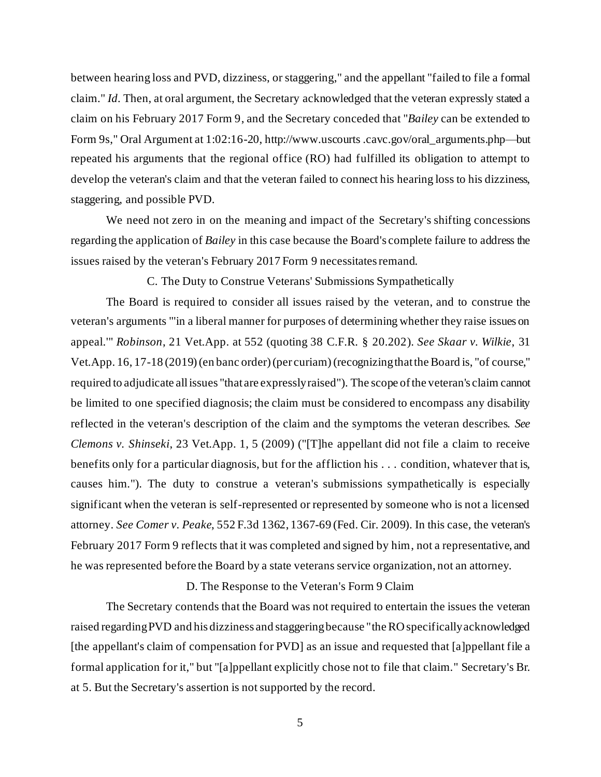between hearing loss and PVD, dizziness, or staggering," and the appellant "failed to file a formal claim." *Id.* Then, at oral argument, the Secretary acknowledged that the veteran expressly stated a claim on his February 2017 Form 9, and the Secretary conceded that "*Bailey* can be extended to Form 9s," Oral Argument at 1:02:16-20, http://www.uscourts .cavc.gov/oral\_arguments.php—but repeated his arguments that the regional office (RO) had fulfilled its obligation to attempt to develop the veteran's claim and that the veteran failed to connect his hearing loss to his dizziness, staggering, and possible PVD.

We need not zero in on the meaning and impact of the Secretary's shifting concessions regarding the application of *Bailey* in this case because the Board's complete failure to address the issues raised by the veteran's February 2017 Form 9 necessitates remand.

C. The Duty to Construe Veterans' Submissions Sympathetically

The Board is required to consider all issues raised by the veteran, and to construe the veteran's arguments "'in a liberal manner for purposes of determining whether they raise issues on appeal.'" *Robinson*, 21 Vet.App. at 552 (quoting 38 C.F.R. § 20.202). *See Skaar v. Wilkie*, 31 Vet.App. 16, 17-18 (2019)(en banc order) (per curiam)(recognizing that the Board is, "of course," required to adjudicate all issues "that are expressly raised"). The scope of the veteran's claim cannot be limited to one specified diagnosis; the claim must be considered to encompass any disability reflected in the veteran's description of the claim and the symptoms the veteran describes. *See Clemons v. Shinseki*, 23 Vet.App. 1, 5 (2009) ("[T]he appellant did not file a claim to receive benefits only for a particular diagnosis, but for the affliction his . . . condition, whatever that is, causes him."). The duty to construe a veteran's submissions sympathetically is especially significant when the veteran is self-represented or represented by someone who is not a licensed attorney. *See Comer v. Peake*, 552 F.3d 1362, 1367-69 (Fed. Cir. 2009). In this case, the veteran's February 2017 Form 9 reflects that it was completed and signed by him, not a representative, and he was represented before the Board by a state veterans service organization, not an attorney.

#### D. The Response to the Veteran's Form 9 Claim

The Secretary contends that the Board was not required to entertain the issues the veteran raised regarding PVD and his dizziness and staggering because "the RO specifically acknowledged [the appellant's claim of compensation for PVD] as an issue and requested that [a]ppellant file a formal application for it," but "[a]ppellant explicitly chose not to file that claim." Secretary's Br. at 5. But the Secretary's assertion is not supported by the record.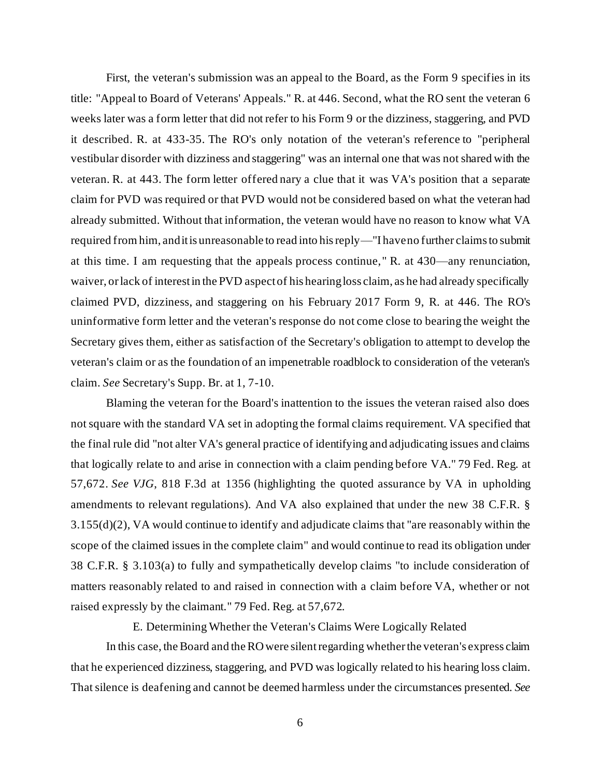First, the veteran's submission was an appeal to the Board, as the Form 9 specifies in its title: "Appeal to Board of Veterans' Appeals." R. at 446. Second, what the RO sent the veteran 6 weeks later was a form letter that did not refer to his Form 9 or the dizziness, staggering, and PVD it described. R. at 433-35. The RO's only notation of the veteran's reference to "peripheral vestibular disorder with dizziness and staggering" was an internal one that was not shared with the veteran. R. at 443. The form letter offered nary a clue that it was VA's position that a separate claim for PVD was required or that PVD would not be considered based on what the veteran had already submitted. Without that information, the veteran would have no reason to know what VA required from him, and it is unreasonable to read into his reply—"I have no further claims to submit at this time. I am requesting that the appeals process continue," R. at 430—any renunciation, waiver, or lack of interest in the PVD aspect of his hearing loss claim, as he had already specifically claimed PVD, dizziness, and staggering on his February 2017 Form 9, R. at 446. The RO's uninformative form letter and the veteran's response do not come close to bearing the weight the Secretary gives them, either as satisfaction of the Secretary's obligation to attempt to develop the veteran's claim or as the foundation of an impenetrable roadblock to consideration of the veteran's claim. *See* Secretary's Supp. Br. at 1, 7-10.

Blaming the veteran for the Board's inattention to the issues the veteran raised also does not square with the standard VA set in adopting the formal claims requirement. VA specified that the final rule did "not alter VA's general practice of identifying and adjudicating issues and claims that logically relate to and arise in connection with a claim pending before VA." 79 Fed. Reg. at 57,672. *See VJG*, 818 F.3d at 1356 (highlighting the quoted assurance by VA in upholding amendments to relevant regulations). And VA also explained that under the new 38 C.F.R. § 3.155(d)(2), VA would continue to identify and adjudicate claims that "are reasonably within the scope of the claimed issues in the complete claim" and would continue to read its obligation under 38 C.F.R. § 3.103(a) to fully and sympathetically develop claims "to include consideration of matters reasonably related to and raised in connection with a claim before VA, whether or not raised expressly by the claimant." 79 Fed. Reg. at 57,672.

E. Determining Whether the Veteran's Claims Were Logically Related

In this case, the Board and the RO were silent regarding whether the veteran's express claim that he experienced dizziness, staggering, and PVD was logically related to his hearing loss claim. That silence is deafening and cannot be deemed harmless under the circumstances presented. *See*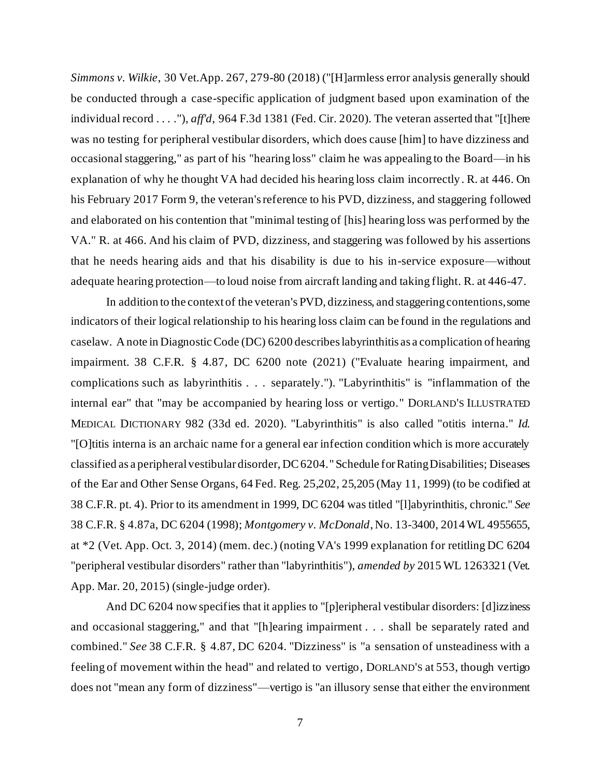*Simmons v. Wilkie*, 30 Vet.App. 267, 279-80 (2018) ("[H]armless error analysis generally should be conducted through a case-specific application of judgment based upon examination of the individual record . . . ."), *aff'd*, 964 F.3d 1381 (Fed. Cir. 2020). The veteran asserted that "[t]here was no testing for peripheral vestibular disorders, which does cause [him] to have dizziness and occasional staggering," as part of his "hearing loss" claim he was appealing to the Board—in his explanation of why he thought VA had decided his hearing loss claim incorrectly. R. at 446. On his February 2017 Form 9, the veteran's reference to his PVD, dizziness, and staggering followed and elaborated on his contention that "minimal testing of [his] hearing loss was performed by the VA." R. at 466. And his claim of PVD, dizziness, and staggering was followed by his assertions that he needs hearing aids and that his disability is due to his in-service exposure—without adequate hearing protection—to loud noise from aircraft landing and taking flight. R. at 446-47.

In addition to the context of the veteran's PVD, dizziness, and staggering contentions, some indicators of their logical relationship to his hearing loss claim can be found in the regulations and caselaw. A note in Diagnostic Code (DC) 6200 describes labyrinthitis as a complication of hearing impairment. 38 C.F.R. § 4.87, DC 6200 note (2021) ("Evaluate hearing impairment, and complications such as labyrinthitis . . . separately."). "Labyrinthitis" is "inflammation of the internal ear" that "may be accompanied by hearing loss or vertigo." DORLAND'S ILLUSTRATED MEDICAL DICTIONARY 982 (33d ed. 2020). "Labyrinthitis" is also called "otitis interna." *Id.* "[O]titis interna is an archaic name for a general ear infection condition which is more accurately classified as a peripheral vestibular disorder, DC 6204." Schedule for Rating Disabilities; Diseases of the Ear and Other Sense Organs, 64 Fed. Reg. 25,202, 25,205 (May 11, 1999) (to be codified at 38 C.F.R. pt. 4). Prior to its amendment in 1999, DC 6204 was titled "[l]abyrinthitis, chronic." *See* 38 C.F.R. § 4.87a, DC 6204 (1998); *Montgomery v. McDonald*, No. 13-3400, 2014 WL 4955655, at \*2 (Vet. App. Oct. 3, 2014) (mem. dec.) (noting VA's 1999 explanation for retitling DC 6204 "peripheral vestibular disorders" rather than "labyrinthitis"), *amended by* 2015 WL 1263321 (Vet. App. Mar. 20, 2015) (single-judge order).

And DC 6204 now specifies that it applies to "[p]eripheral vestibular disorders: [d] izziness and occasional staggering," and that "[h]earing impairment . . . shall be separately rated and combined." *See* 38 C.F.R. § 4.87, DC 6204. "Dizziness" is "a sensation of unsteadiness with a feeling of movement within the head" and related to vertigo, DORLAND'S at 553, though vertigo does not "mean any form of dizziness"—vertigo is "an illusory sense that either the environment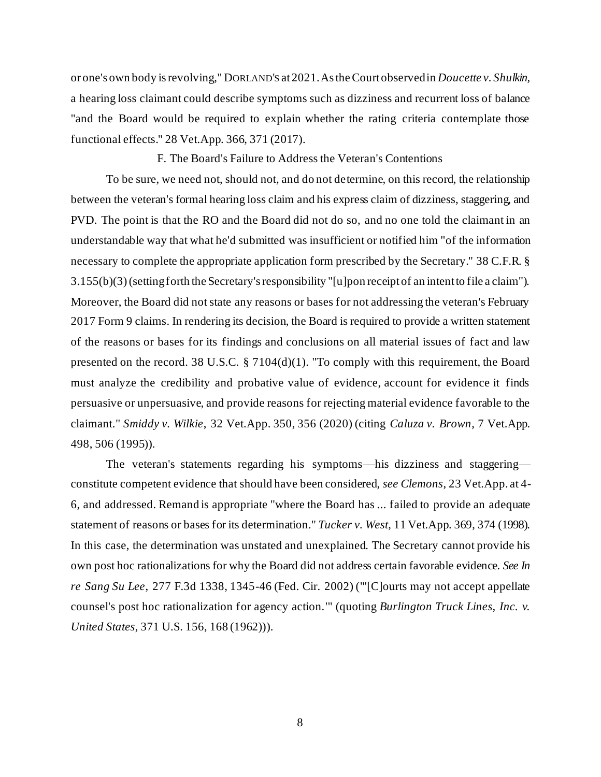or one's own body is revolving," DORLAND'S at 2021.As the Court observed in *Doucette v. Shulkin,* a hearing loss claimant could describe symptoms such as dizziness and recurrent loss of balance "and the Board would be required to explain whether the rating criteria contemplate those functional effects." 28 Vet.App. 366, 371 (2017).

F. The Board's Failure to Address the Veteran's Contentions

To be sure, we need not, should not, and do not determine, on this record, the relationship between the veteran's formal hearing loss claim and his express claim of dizziness, staggering, and PVD. The point is that the RO and the Board did not do so, and no one told the claimant in an understandable way that what he'd submitted was insufficient or notified him "of the information necessary to complete the appropriate application form prescribed by the Secretary." 38 C.F.R. § 3.155(b)(3)(setting forth the Secretary's responsibility "[u]pon receipt of an intent to file a claim"). Moreover, the Board did not state any reasons or bases for not addressing the veteran's February 2017 Form 9 claims. In rendering its decision, the Board is required to provide a written statement of the reasons or bases for its findings and conclusions on all material issues of fact and law presented on the record. 38 U.S.C. § 7104(d)(1). "To comply with this requirement, the Board must analyze the credibility and probative value of evidence, account for evidence it finds persuasive or unpersuasive, and provide reasons for rejecting material evidence favorable to the claimant." *Smiddy v. Wilkie*, 32 Vet.App. 350, 356 (2020) (citing *Caluza v. Brown*, 7 Vet.App. 498, 506 (1995)).

The veteran's statements regarding his symptoms—his dizziness and staggering constitute competent evidence that should have been considered, *see Clemons*, 23 Vet.App. at 4- 6, and addressed. Remand is appropriate "where the Board has ... failed to provide an adequate statement of reasons or bases for its determination." *Tucker v. West*, 11 Vet.App. 369, 374 (1998). In this case, the determination was unstated and unexplained. The Secretary cannot provide his own post hoc rationalizations for why the Board did not address certain favorable evidence. *See In re Sang Su Lee*, 277 F.3d 1338, 1345-46 (Fed. Cir. 2002) ("'[C]ourts may not accept appellate counsel's post hoc rationalization for agency action.'" (quoting *Burlington Truck Lines, Inc. v. United States*, 371 U.S. 156, 168 (1962))).